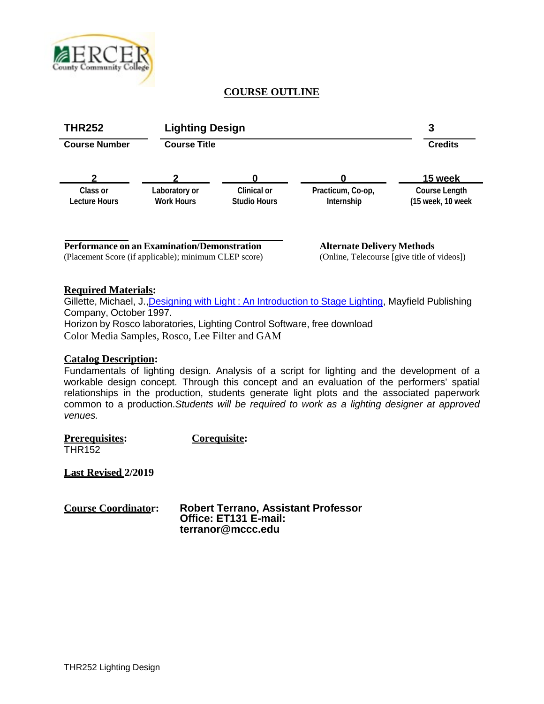

# **COURSE OUTLINE**



### **Required Materials:**

Gillette, Michael, J., Designing with Light: An [Introduction](http://service.bfast.com/bfast/click?bfmid=2181&sourceid=1284695&bfpid=1559345276&bfmtype=book) to Stage Lighting, Mayfield Publishing Company, October 1997. Horizon by Rosco laboratories, Lighting Control Software, free download Color Media Samples, Rosco, Lee Filter and GAM

### **Catalog Description:**

Fundamentals of lighting design. Analysis of a script for lighting and the development of a workable design concept. Through this concept and an evaluation of the performers' spatial relationships in the production, students generate light plots and the associated paperwork common to a production.*Students will be required to work as a lighting designer at approved venues.*

**Prerequisites: Corequisite:** THR152

**Last Revised 2/2019**

**Course Coordinator: Robert Terrano, Assistant Professor Office: ET131 E-mail: [terranor@mccc.edu](mailto:terranor@mccc.edu)**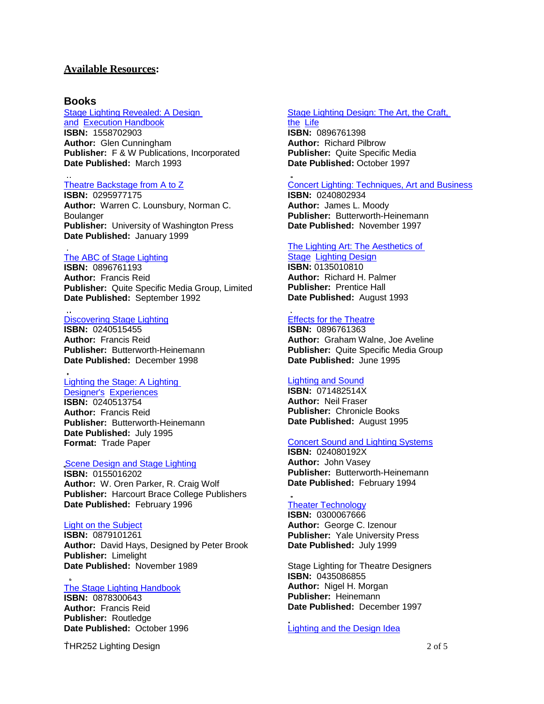### **Available Resources:**

#### **Books**

### [Stage Lighting Revealed:](http://service.bfast.com/bfast/click?bfmid=2181&sourceid=1284695&bfpid=1558702903&bfmtype=book) A Design

[and Execution Handbook](http://service.bfast.com/bfast/click?bfmid=2181&sourceid=1284695&bfpid=1558702903&bfmtype=book) **ISBN:** 1558702903 **Author:** Glen Cunningham **Publisher:** F & W Publications, Incorporated **Date Published:** March 1993

#### [Theatre Backstage from A](http://service.bfast.com/bfast/click?bfmid=2181&sourceid=1284695&bfpid=0295977175&bfmtype=book) to Z

**ISBN:** 0295977175 **Author:** Warren C. Lounsbury, Norman C. Boulanger **Publisher:** University of Washington Press **Date Published:** January 1999

#### [The ABC of Stage Lighting](http://service.bfast.com/bfast/click?bfmid=2181&sourceid=1284695&bfpid=0896761193&bfmtype=book)

**ISBN:** 0896761193 **Author:** Francis Reid **Publisher:** Quite Specific Media Group, Limited **Date Published:** September 1992

#### Discovering [Stage Lighting](http://service.bfast.com/bfast/click?bfmid=2181&sourceid=1284695&bfpid=0240515455&bfmtype=book)

**ISBN:** 0240515455 **Author:** Francis Reid **Publisher:** Butterworth-Heinemann **Date Published:** December 1998

#### [Lighting the Stage:](http://service.bfast.com/bfast/click?bfmid=2181&sourceid=1284695&bfpid=0240513754&bfmtype=book) A Lighting

[Designer's Experiences](http://service.bfast.com/bfast/click?bfmid=2181&sourceid=1284695&bfpid=0240513754&bfmtype=book) **ISBN:** 0240513754 **Author:** Francis Reid **Publisher:** Butterworth-Heinemann **Date Published:** July 1995 **Format:** Trade Paper

#### Scene [Design and](http://service.bfast.com/bfast/click?bfmid=2181&sourceid=1284695&bfpid=0155016202&bfmtype=book) Stage Lighting

**ISBN:** 0155016202 **Author:** W. Oren Parker, R. Craig Wolf **Publisher:** Harcourt Brace College Publishers **Date Published:** February 1996

#### Light on the [Subject](http://service.bfast.com/bfast/click?bfmid=2181&sourceid=1284695&bfpid=0879101261&bfmtype=book)

**ISBN:** 0879101261 **Author:** David Hays, Designed by Peter Brook **Publisher:** Limelight **Date Published:** November 1989

#### The Stage [Lighting Handbook](http://service.bfast.com/bfast/click?bfmid=2181&sourceid=1284695&bfpid=0878300643&bfmtype=book)

**ISBN:** 0878300643 **Author:** Francis Reid **Publisher:** Routledge **Date Published:** October 1996

THR252 Lighting Design 2 of 5

#### [Stage Lighting Design: The Art, the Craft,](http://service.bfast.com/bfast/click?bfmid=2181&sourceid=1284695&bfpid=0896761398&bfmtype=book) [the Life](http://service.bfast.com/bfast/click?bfmid=2181&sourceid=1284695&bfpid=0896761398&bfmtype=book)

**ISBN:** 0896761398 **Author:** Richard Pilbrow **Publisher:** Quite Specific Media **Date Published:** October 1997

#### Concert Lighting: Techniques, [Art and Business](http://service.bfast.com/bfast/click?bfmid=2181&sourceid=1284695&bfpid=0240802934&bfmtype=book)

**ISBN:** 0240802934 **Author:** James L. Moody **Publisher:** Butterworth-Heinemann **Date Published:** November 1997

#### [The Lighting Art: The Aesthetics of](http://service.bfast.com/bfast/click?bfmid=2181&sourceid=1284695&bfpid=0135010810&bfmtype=book)

#### [Stage Lighting](http://service.bfast.com/bfast/click?bfmid=2181&sourceid=1284695&bfpid=0135010810&bfmtype=book) Design **ISBN:** 0135010810 **Author:** Richard H. Palmer **Publisher:** Prentice Hall

**Date Published:** August 1993

### [Effects for the Theatre](http://service.bfast.com/bfast/click?bfmid=2181&sourceid=1284695&bfpid=0896761363&bfmtype=book)

**ISBN:** 0896761363 **Author:** Graham Walne, Joe Aveline **Publisher:** Quite Specific Media Group **Date Published:** June 1995

### **[Lighting](http://service.bfast.com/bfast/click?bfmid=2181&sourceid=1284695&bfpid=071482514X&bfmtype=book) and Sound**

**ISBN:** 071482514X **Author:** Neil Fraser **Publisher:** Chronicle Books **Date Published:** August 1995

#### [Concert Sound and Lighting Systems](http://service.bfast.com/bfast/click?bfmid=2181&sourceid=1284695&bfpid=024080192X&bfmtype=book)

**ISBN:** 024080192X **Author:** John Vasey **Publisher:** Butterworth-Heinemann **Date Published:** February 1994

#### Theater [Technology](http://service.bfast.com/bfast/click?bfmid=2181&sourceid=1284695&bfpid=0300067666&bfmtype=book)

**ISBN:** 0300067666 **Author:** George C. Izenour **Publisher:** Yale University Press **Date Published:** July 1999

Stage Lighting for Theatre Designers **ISBN:** 0435086855 **Author:** Nigel H. Morgan **Publisher:** Heinemann **Date Published:** December 1997

### Lighting and the [Design Idea](http://service.bfast.com/bfast/click?bfmid=2181&sourceid=1284695&bfpid=0155020692&bfmtype=book)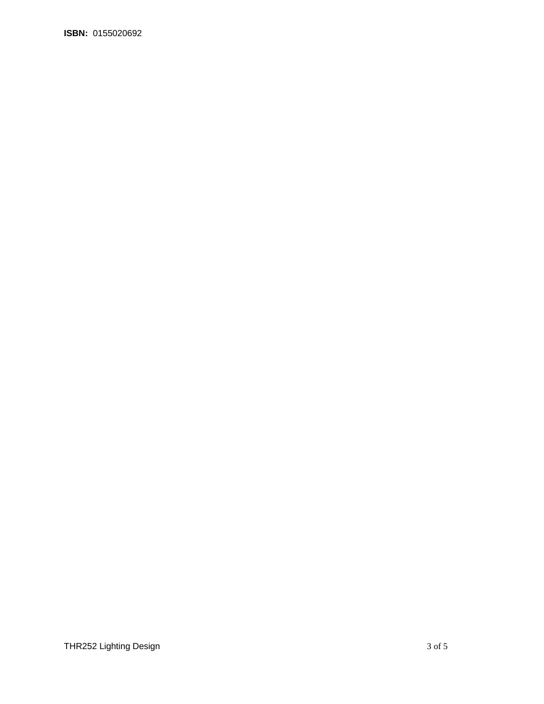**ISBN:** 0155020692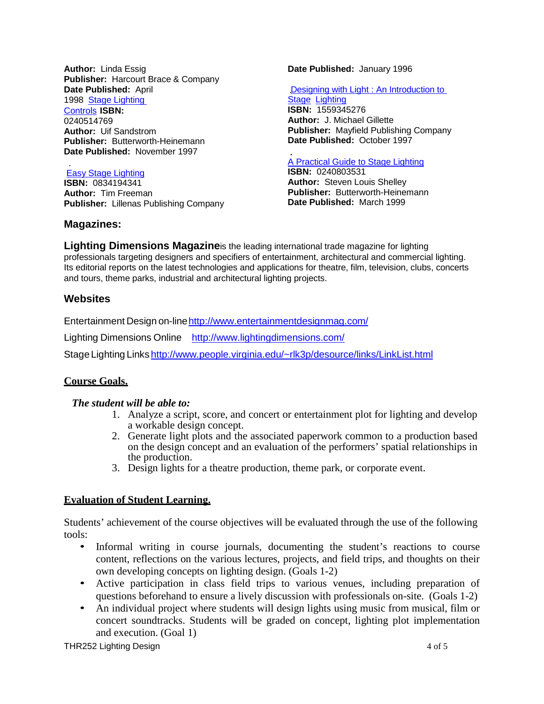**Author:** Linda Essig **Publisher:** Harcourt Brace & Company **[Da](http://service.bfast.com/bfast/click?bfmid=2181&sourceid=1284695&bfpid=0240514769&bfmtype=book)te Published:** April 1998 [Stage Lighting](http://service.bfast.com/bfast/click?bfmid=2181&sourceid=1284695&bfpid=0240514769&bfmtype=book)  [Controls](http://service.bfast.com/bfast/click?bfmid=2181&sourceid=1284695&bfpid=0240514769&bfmtype=book) **ISBN:** 0240514769 **Author:** Uif Sandstrom **Publisher:** Butterworth-Heinemann **Date Published:** November 1997

### [Easy Stage Lighting](http://service.bfast.com/bfast/click?bfmid=2181&sourceid=1284695&bfpid=0834194341&bfmtype=book)

**ISBN:** 0834194341 **Author:** Tim Freeman **Publisher:** Lillenas Publishing Company

### **Magazines:**

**Date Published:** January 1996

Designing with Light : [An Introduction](http://service.bfast.com/bfast/click?bfmid=2181&sourceid=1284695&bfpid=1559345276&bfmtype=book) to **[Stage Lighting](http://service.bfast.com/bfast/click?bfmid=2181&sourceid=1284695&bfpid=1559345276&bfmtype=book) ISBN:** 1559345276 **Author:** J. Michael Gillette **Publisher:** Mayfield Publishing Company **Date Published:** October 1997

# A [Practical Guide to Stage](http://service.bfast.com/bfast/click?bfmid=2181&sourceid=1284695&bfpid=0240803531&bfmtype=book) Lighting

**ISBN:** 0240803531 **Author:** Steven Louis Shelley **Publisher:** Butterworth-Heinemann **Date Published:** March 1999

**Lighting Dimensions Magazine**is the leading international trade magazine for lighting professionals targeting designers and specifiers of entertainment, architectural and commercial lighting. Its editorial reports on the latest technologies and applications for theatre, film, television, clubs, concerts and tours, theme parks, industrial and architectural lighting projects.

## **Websites**

Entertainment Design on-lin[ehttp://www.entertainmentdesignmag.com/](http://www.entertainmentdesignmag.com/)

Lighting Dimensions Online <http://www.lightingdimensions.com/>

Stage Lighting Links <http://www.people.virginia.edu/~rlk3p/desource/links/LinkList.html>

# **Course Goals.**

### *The student will be able to:*

- 1. Analyze a script, score, and concert or entertainment plot for lighting and develop a workable design concept.
- 2. Generate light plots and the associated paperwork common to a production based on the design concept and an evaluation of the performers' spatial relationships in the production.
- 3. Design lights for a theatre production, theme park, or corporate event.

### **Evaluation of Student Learning.**

Students' achievement of the course objectives will be evaluated through the use of the following tools:

- Informal writing in course journals, documenting the student's reactions to course content, reflections on the various lectures, projects, and field trips, and thoughts on their own developing concepts on lighting design. (Goals 1-2)
- Active participation in class field trips to various venues, including preparation of questions beforehand to ensure a lively discussion with professionals on-site. (Goals 1-2)
- An individual project where students will design lights using music from musical, film or concert soundtracks. Students will be graded on concept, lighting plot implementation and execution. (Goal 1)

THR252 Lighting Design **1999** and 1999 and 1999 and 1999 and 1999 and 1999 and 1999 and 1999 and 1999 and 1999 and 1999 and 1999 and 1999 and 1999 and 1999 and 1999 and 1999 and 1999 and 1999 and 1999 and 1999 and 1999 and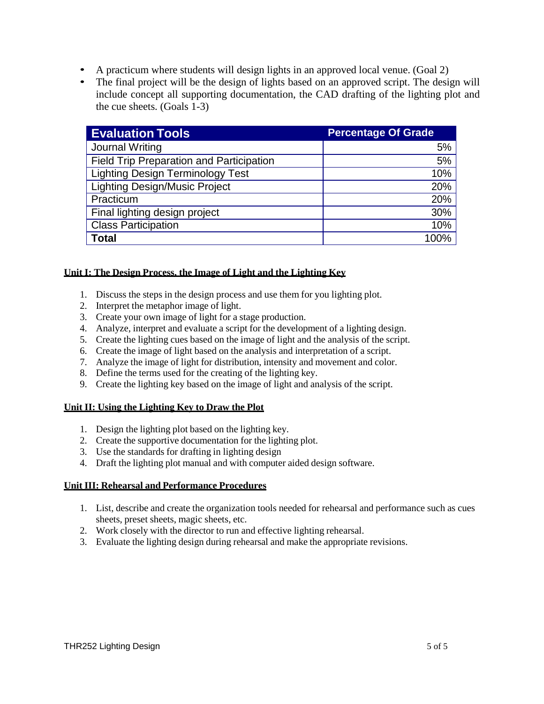- A practicum where students will design lights in an approved local venue. (Goal 2)
- The final project will be the design of lights based on an approved script. The design will include concept all supporting documentation, the CAD drafting of the lighting plot and the cue sheets. (Goals 1-3)

| <b>Evaluation Tools</b>                  | <b>Percentage Of Grade</b> |
|------------------------------------------|----------------------------|
| Journal Writing                          | 5%                         |
| Field Trip Preparation and Participation | 5%                         |
| <b>Lighting Design Terminology Test</b>  | 10%                        |
| <b>Lighting Design/Music Project</b>     | 20%                        |
| Practicum                                | 20%                        |
| Final lighting design project            | 30%                        |
| <b>Class Participation</b>               | 10%                        |
| <b>Total</b>                             | 100%                       |

### **Unit I: The Design Process, the Image of Light and the Lighting Key**

- 1. Discuss the steps in the design process and use them for you lighting plot.
- 2. Interpret the metaphor image of light.
- 3. Create your own image of light for a stage production.
- 4. Analyze, interpret and evaluate a script for the development of a lighting design.
- 5. Create the lighting cues based on the image of light and the analysis of the script.
- 6. Create the image of light based on the analysis and interpretation of a script.
- 7. Analyze the image of light for distribution, intensity and movement and color.
- 8. Define the terms used for the creating of the lighting key.
- 9. Create the lighting key based on the image of light and analysis of the script.

### **Unit II: Using the Lighting Key to Draw the Plot**

- 1. Design the lighting plot based on the lighting key.
- 2. Create the supportive documentation for the lighting plot.
- 3. Use the standards for drafting in lighting design
- 4. Draft the lighting plot manual and with computer aided design software.

### **Unit III: Rehearsal and Performance Procedures**

- 1. List, describe and create the organization tools needed for rehearsal and performance such as cues sheets, preset sheets, magic sheets, etc.
- 2. Work closely with the director to run and effective lighting rehearsal.
- 3. Evaluate the lighting design during rehearsal and make the appropriate revisions.